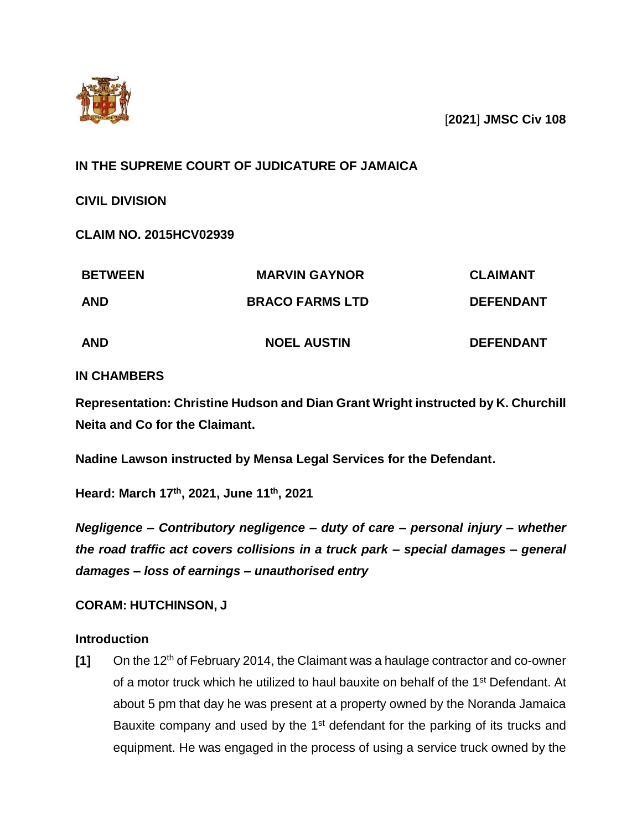

[**2021**] **JMSC Civ 108**

# **IN THE SUPREME COURT OF JUDICATURE OF JAMAICA**

**CIVIL DIVISION**

**CLAIM NO. 2015HCV02939**

| <b>BETWEEN</b><br><b>AND</b> | <b>MARVIN GAYNOR</b><br><b>BRACO FARMS LTD</b> | <b>CLAIMANT</b><br><b>DEFENDANT</b> |
|------------------------------|------------------------------------------------|-------------------------------------|
|                              |                                                |                                     |

## **IN CHAMBERS**

**Representation: Christine Hudson and Dian Grant Wright instructed by K. Churchill Neita and Co for the Claimant.**

**Nadine Lawson instructed by Mensa Legal Services for the Defendant.**

**Heard: March 17th, 2021, June 11th, 2021**

*Negligence – Contributory negligence – duty of care – personal injury – whether the road traffic act covers collisions in a truck park – special damages – general damages – loss of earnings – unauthorised entry* 

## **CORAM: HUTCHINSON, J**

## **Introduction**

**[1]** On the 12th of February 2014, the Claimant was a haulage contractor and co-owner of a motor truck which he utilized to haul bauxite on behalf of the 1<sup>st</sup> Defendant. At about 5 pm that day he was present at a property owned by the Noranda Jamaica Bauxite company and used by the 1<sup>st</sup> defendant for the parking of its trucks and equipment. He was engaged in the process of using a service truck owned by the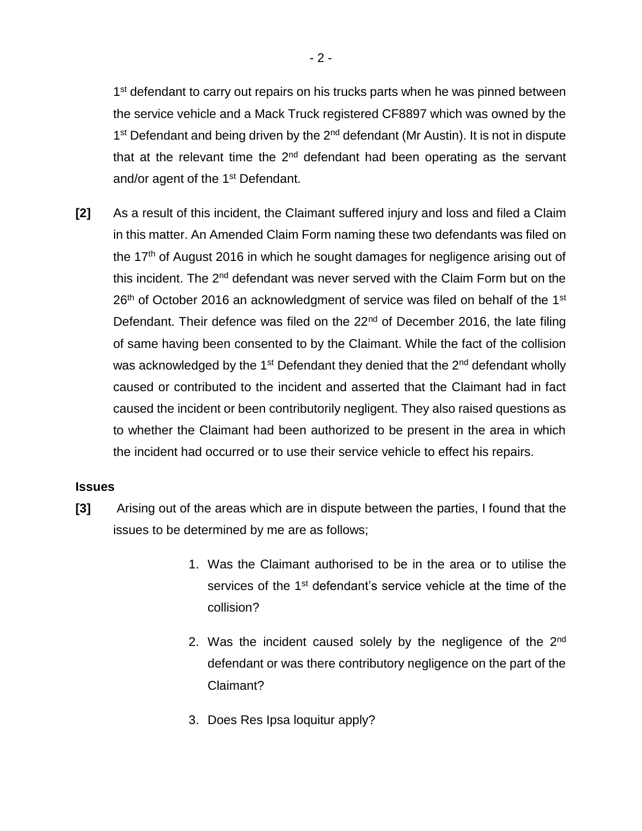1<sup>st</sup> defendant to carry out repairs on his trucks parts when he was pinned between the service vehicle and a Mack Truck registered CF8897 which was owned by the 1<sup>st</sup> Defendant and being driven by the 2<sup>nd</sup> defendant (Mr Austin). It is not in dispute that at the relevant time the  $2<sup>nd</sup>$  defendant had been operating as the servant and/or agent of the 1<sup>st</sup> Defendant.

**[2]** As a result of this incident, the Claimant suffered injury and loss and filed a Claim in this matter. An Amended Claim Form naming these two defendants was filed on the  $17<sup>th</sup>$  of August 2016 in which he sought damages for negligence arising out of this incident. The 2<sup>nd</sup> defendant was never served with the Claim Form but on the  $26<sup>th</sup>$  of October 2016 an acknowledgment of service was filed on behalf of the 1<sup>st</sup> Defendant. Their defence was filed on the 22<sup>nd</sup> of December 2016, the late filing of same having been consented to by the Claimant. While the fact of the collision was acknowledged by the 1<sup>st</sup> Defendant they denied that the 2<sup>nd</sup> defendant wholly caused or contributed to the incident and asserted that the Claimant had in fact caused the incident or been contributorily negligent. They also raised questions as to whether the Claimant had been authorized to be present in the area in which the incident had occurred or to use their service vehicle to effect his repairs.

## **Issues**

- **[3]** Arising out of the areas which are in dispute between the parties, I found that the issues to be determined by me are as follows;
	- 1. Was the Claimant authorised to be in the area or to utilise the services of the 1<sup>st</sup> defendant's service vehicle at the time of the collision?
	- 2. Was the incident caused solely by the negligence of the 2<sup>nd</sup> defendant or was there contributory negligence on the part of the Claimant?
	- 3. Does Res Ipsa loquitur apply?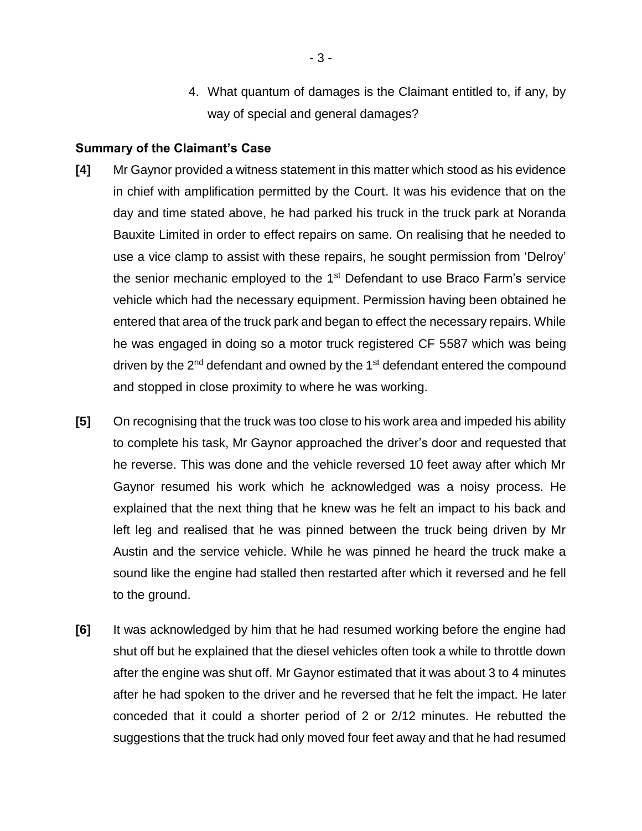4. What quantum of damages is the Claimant entitled to, if any, by way of special and general damages?

#### **Summary of the Claimant's Case**

- **[4]** Mr Gaynor provided a witness statement in this matter which stood as his evidence in chief with amplification permitted by the Court. It was his evidence that on the day and time stated above, he had parked his truck in the truck park at Noranda Bauxite Limited in order to effect repairs on same. On realising that he needed to use a vice clamp to assist with these repairs, he sought permission from 'Delroy' the senior mechanic employed to the  $1<sup>st</sup>$  Defendant to use Braco Farm's service vehicle which had the necessary equipment. Permission having been obtained he entered that area of the truck park and began to effect the necessary repairs. While he was engaged in doing so a motor truck registered CF 5587 which was being driven by the  $2<sup>nd</sup>$  defendant and owned by the 1<sup>st</sup> defendant entered the compound and stopped in close proximity to where he was working.
- **[5]** On recognising that the truck was too close to his work area and impeded his ability to complete his task, Mr Gaynor approached the driver's door and requested that he reverse. This was done and the vehicle reversed 10 feet away after which Mr Gaynor resumed his work which he acknowledged was a noisy process. He explained that the next thing that he knew was he felt an impact to his back and left leg and realised that he was pinned between the truck being driven by Mr Austin and the service vehicle. While he was pinned he heard the truck make a sound like the engine had stalled then restarted after which it reversed and he fell to the ground.
- **[6]** It was acknowledged by him that he had resumed working before the engine had shut off but he explained that the diesel vehicles often took a while to throttle down after the engine was shut off. Mr Gaynor estimated that it was about 3 to 4 minutes after he had spoken to the driver and he reversed that he felt the impact. He later conceded that it could a shorter period of 2 or 2/12 minutes. He rebutted the suggestions that the truck had only moved four feet away and that he had resumed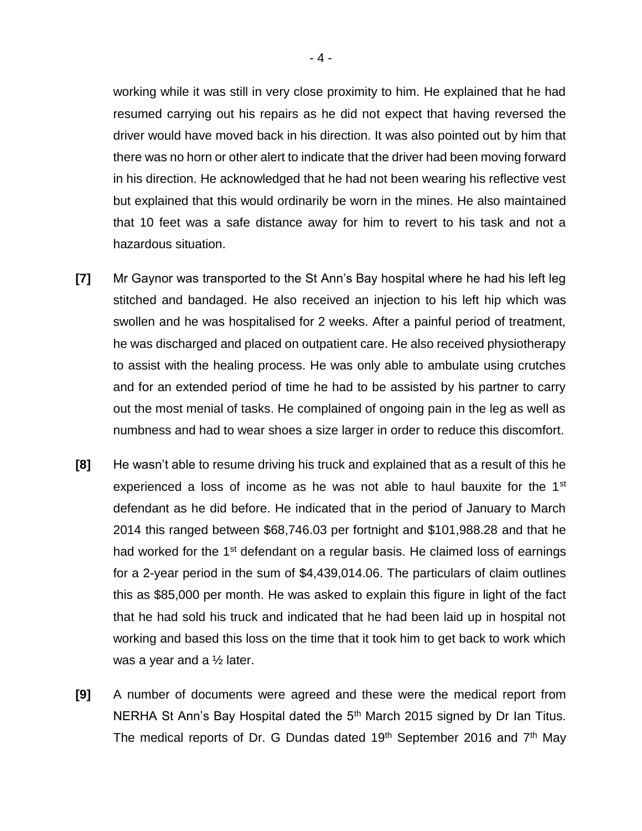working while it was still in very close proximity to him. He explained that he had resumed carrying out his repairs as he did not expect that having reversed the driver would have moved back in his direction. It was also pointed out by him that there was no horn or other alert to indicate that the driver had been moving forward in his direction. He acknowledged that he had not been wearing his reflective vest but explained that this would ordinarily be worn in the mines. He also maintained that 10 feet was a safe distance away for him to revert to his task and not a hazardous situation.

- **[7]** Mr Gaynor was transported to the St Ann's Bay hospital where he had his left leg stitched and bandaged. He also received an injection to his left hip which was swollen and he was hospitalised for 2 weeks. After a painful period of treatment, he was discharged and placed on outpatient care. He also received physiotherapy to assist with the healing process. He was only able to ambulate using crutches and for an extended period of time he had to be assisted by his partner to carry out the most menial of tasks. He complained of ongoing pain in the leg as well as numbness and had to wear shoes a size larger in order to reduce this discomfort.
- **[8]** He wasn't able to resume driving his truck and explained that as a result of this he experienced a loss of income as he was not able to haul bauxite for the 1<sup>st</sup> defendant as he did before. He indicated that in the period of January to March 2014 this ranged between \$68,746.03 per fortnight and \$101,988.28 and that he had worked for the  $1<sup>st</sup>$  defendant on a regular basis. He claimed loss of earnings for a 2-year period in the sum of \$4,439,014.06. The particulars of claim outlines this as \$85,000 per month. He was asked to explain this figure in light of the fact that he had sold his truck and indicated that he had been laid up in hospital not working and based this loss on the time that it took him to get back to work which was a year and a  $\frac{1}{2}$  later.
- **[9]** A number of documents were agreed and these were the medical report from NERHA St Ann's Bay Hospital dated the 5<sup>th</sup> March 2015 signed by Dr Ian Titus. The medical reports of Dr. G Dundas dated 19<sup>th</sup> September 2016 and  $7<sup>th</sup>$  May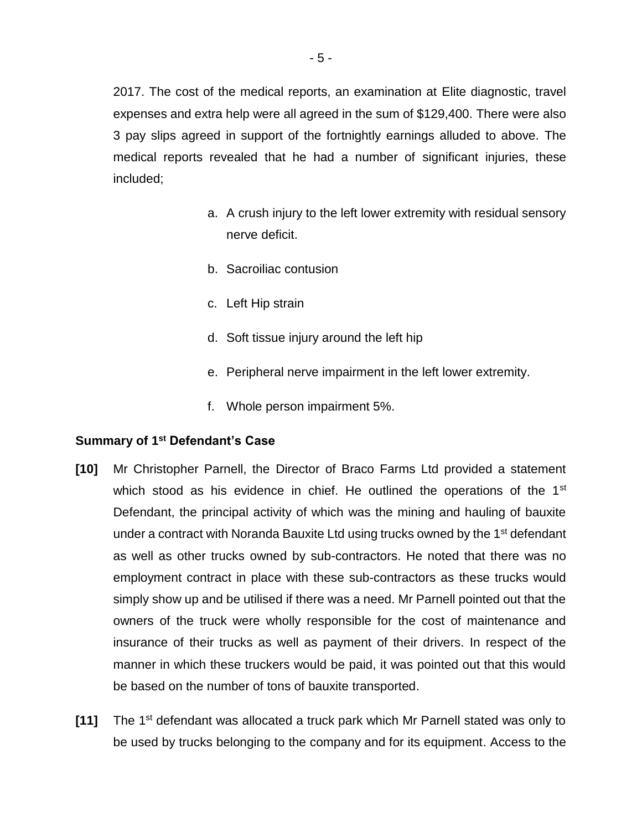2017. The cost of the medical reports, an examination at Elite diagnostic, travel expenses and extra help were all agreed in the sum of \$129,400. There were also 3 pay slips agreed in support of the fortnightly earnings alluded to above. The medical reports revealed that he had a number of significant injuries, these included;

- a. A crush injury to the left lower extremity with residual sensory nerve deficit.
- b. Sacroiliac contusion
- c. Left Hip strain
- d. Soft tissue injury around the left hip
- e. Peripheral nerve impairment in the left lower extremity.
- f. Whole person impairment 5%.

## **Summary of 1st Defendant's Case**

- **[10]** Mr Christopher Parnell, the Director of Braco Farms Ltd provided a statement which stood as his evidence in chief. He outlined the operations of the 1<sup>st</sup> Defendant, the principal activity of which was the mining and hauling of bauxite under a contract with Noranda Bauxite Ltd using trucks owned by the 1<sup>st</sup> defendant as well as other trucks owned by sub-contractors. He noted that there was no employment contract in place with these sub-contractors as these trucks would simply show up and be utilised if there was a need. Mr Parnell pointed out that the owners of the truck were wholly responsible for the cost of maintenance and insurance of their trucks as well as payment of their drivers. In respect of the manner in which these truckers would be paid, it was pointed out that this would be based on the number of tons of bauxite transported.
- **[11]** The 1st defendant was allocated a truck park which Mr Parnell stated was only to be used by trucks belonging to the company and for its equipment. Access to the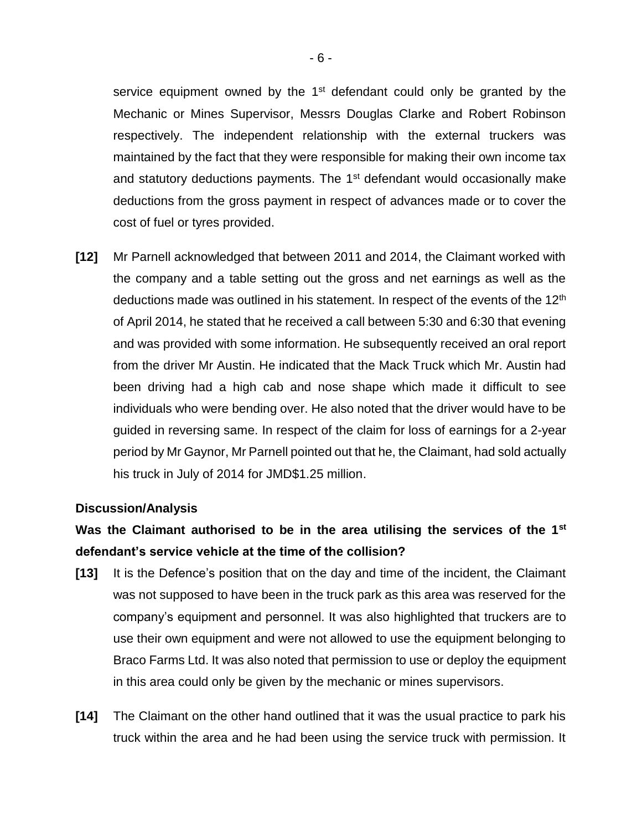service equipment owned by the  $1<sup>st</sup>$  defendant could only be granted by the Mechanic or Mines Supervisor, Messrs Douglas Clarke and Robert Robinson respectively. The independent relationship with the external truckers was maintained by the fact that they were responsible for making their own income tax and statutory deductions payments. The 1<sup>st</sup> defendant would occasionally make deductions from the gross payment in respect of advances made or to cover the cost of fuel or tyres provided.

**[12]** Mr Parnell acknowledged that between 2011 and 2014, the Claimant worked with the company and a table setting out the gross and net earnings as well as the deductions made was outlined in his statement. In respect of the events of the 12<sup>th</sup> of April 2014, he stated that he received a call between 5:30 and 6:30 that evening and was provided with some information. He subsequently received an oral report from the driver Mr Austin. He indicated that the Mack Truck which Mr. Austin had been driving had a high cab and nose shape which made it difficult to see individuals who were bending over. He also noted that the driver would have to be guided in reversing same. In respect of the claim for loss of earnings for a 2-year period by Mr Gaynor, Mr Parnell pointed out that he, the Claimant, had sold actually his truck in July of 2014 for JMD\$1.25 million.

## **Discussion/Analysis**

# **Was the Claimant authorised to be in the area utilising the services of the 1st defendant's service vehicle at the time of the collision?**

- **[13]** It is the Defence's position that on the day and time of the incident, the Claimant was not supposed to have been in the truck park as this area was reserved for the company's equipment and personnel. It was also highlighted that truckers are to use their own equipment and were not allowed to use the equipment belonging to Braco Farms Ltd. It was also noted that permission to use or deploy the equipment in this area could only be given by the mechanic or mines supervisors.
- **[14]** The Claimant on the other hand outlined that it was the usual practice to park his truck within the area and he had been using the service truck with permission. It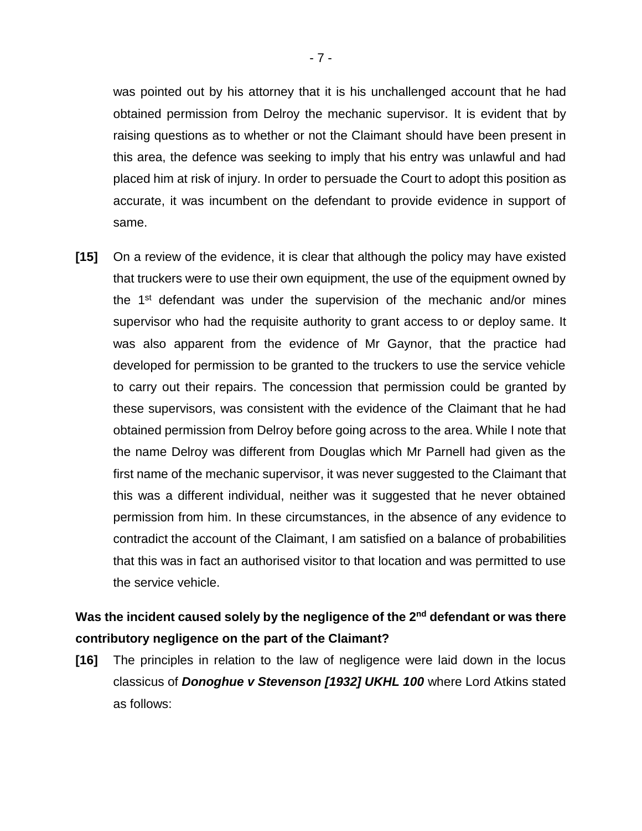was pointed out by his attorney that it is his unchallenged account that he had obtained permission from Delroy the mechanic supervisor. It is evident that by raising questions as to whether or not the Claimant should have been present in this area, the defence was seeking to imply that his entry was unlawful and had placed him at risk of injury. In order to persuade the Court to adopt this position as accurate, it was incumbent on the defendant to provide evidence in support of same.

**[15]** On a review of the evidence, it is clear that although the policy may have existed that truckers were to use their own equipment, the use of the equipment owned by the 1st defendant was under the supervision of the mechanic and/or mines supervisor who had the requisite authority to grant access to or deploy same. It was also apparent from the evidence of Mr Gaynor, that the practice had developed for permission to be granted to the truckers to use the service vehicle to carry out their repairs. The concession that permission could be granted by these supervisors, was consistent with the evidence of the Claimant that he had obtained permission from Delroy before going across to the area. While I note that the name Delroy was different from Douglas which Mr Parnell had given as the first name of the mechanic supervisor, it was never suggested to the Claimant that this was a different individual, neither was it suggested that he never obtained permission from him. In these circumstances, in the absence of any evidence to contradict the account of the Claimant, I am satisfied on a balance of probabilities that this was in fact an authorised visitor to that location and was permitted to use the service vehicle.

# Was the incident caused solely by the negligence of the 2<sup>nd</sup> defendant or was there **contributory negligence on the part of the Claimant?**

**[16]** The principles in relation to the law of negligence were laid down in the locus classicus of *Donoghue v Stevenson [1932] UKHL 100* where Lord Atkins stated as follows: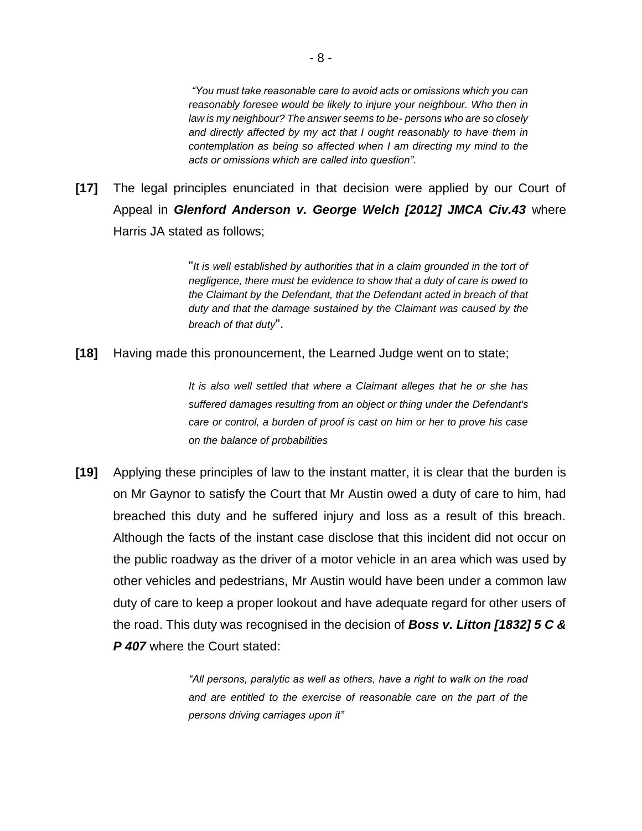*"You must take reasonable care to avoid acts or omissions which you can reasonably foresee would be likely to injure your neighbour. Who then in law is my neighbour? The answer seems to be- persons who are so closely and directly affected by my act that I ought reasonably to have them in contemplation as being so affected when I am directing my mind to the acts or omissions which are called into question".*

**[17]** The legal principles enunciated in that decision were applied by our Court of Appeal in *Glenford Anderson v. George Welch [2012] JMCA Civ.43* where Harris JA stated as follows;

> "*It is well established by authorities that in a claim grounded in the tort of negligence, there must be evidence to show that a duty of care is owed to the Claimant by the Defendant, that the Defendant acted in breach of that duty and that the damage sustained by the Claimant was caused by the breach of that duty*".

**[18]** Having made this pronouncement, the Learned Judge went on to state;

*It is also well settled that where a Claimant alleges that he or she has suffered damages resulting from an object or thing under the Defendant's care or control, a burden of proof is cast on him or her to prove his case on the balance of probabilities*

**[19]** Applying these principles of law to the instant matter, it is clear that the burden is on Mr Gaynor to satisfy the Court that Mr Austin owed a duty of care to him, had breached this duty and he suffered injury and loss as a result of this breach. Although the facts of the instant case disclose that this incident did not occur on the public roadway as the driver of a motor vehicle in an area which was used by other vehicles and pedestrians, Mr Austin would have been under a common law duty of care to keep a proper lookout and have adequate regard for other users of the road. This duty was recognised in the decision of *Boss v. Litton [1832] 5 C & P 407* where the Court stated:

> "All persons, paralytic as well as others, have a right to walk on the road *and are entitled to the exercise of reasonable care on the part of the persons driving carriages upon it"*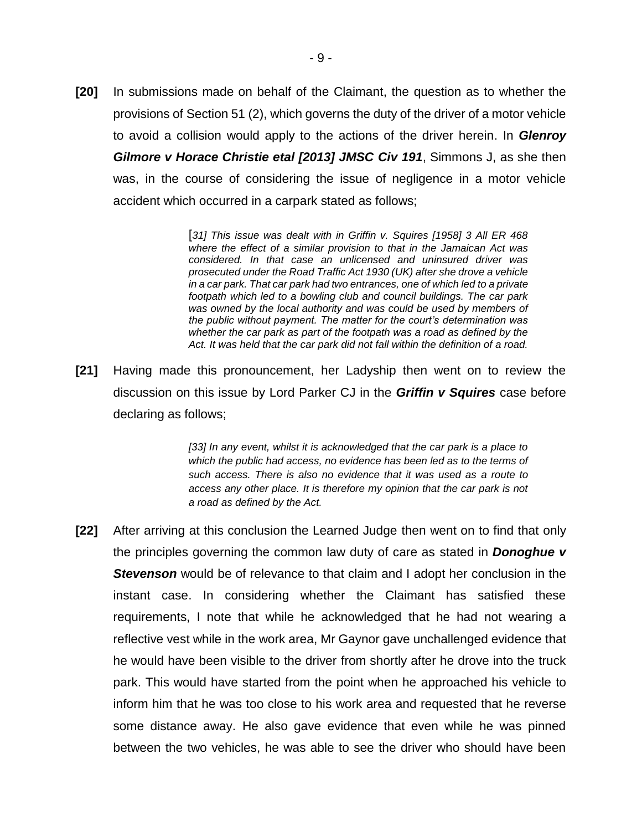**[20]** In submissions made on behalf of the Claimant, the question as to whether the provisions of Section 51 (2), which governs the duty of the driver of a motor vehicle to avoid a collision would apply to the actions of the driver herein. In *Glenroy Gilmore v Horace Christie etal [2013] JMSC Civ 191*, Simmons J, as she then was, in the course of considering the issue of negligence in a motor vehicle accident which occurred in a carpark stated as follows;

> [*31] This issue was dealt with in Griffin v. Squires [1958] 3 All ER 468 where the effect of a similar provision to that in the Jamaican Act was considered. In that case an unlicensed and uninsured driver was prosecuted under the Road Traffic Act 1930 (UK) after she drove a vehicle in a car park. That car park had two entrances, one of which led to a private footpath which led to a bowling club and council buildings. The car park was owned by the local authority and was could be used by members of the public without payment. The matter for the court's determination was whether the car park as part of the footpath was a road as defined by the Act. It was held that the car park did not fall within the definition of a road.*

**[21]** Having made this pronouncement, her Ladyship then went on to review the discussion on this issue by Lord Parker CJ in the *Griffin v Squires* case before declaring as follows;

> *[33] In any event, whilst it is acknowledged that the car park is a place to which the public had access, no evidence has been led as to the terms of such access. There is also no evidence that it was used as a route to access any other place. It is therefore my opinion that the car park is not a road as defined by the Act.*

**[22]** After arriving at this conclusion the Learned Judge then went on to find that only the principles governing the common law duty of care as stated in *Donoghue v Stevenson* would be of relevance to that claim and I adopt her conclusion in the instant case. In considering whether the Claimant has satisfied these requirements, I note that while he acknowledged that he had not wearing a reflective vest while in the work area, Mr Gaynor gave unchallenged evidence that he would have been visible to the driver from shortly after he drove into the truck park. This would have started from the point when he approached his vehicle to inform him that he was too close to his work area and requested that he reverse some distance away. He also gave evidence that even while he was pinned between the two vehicles, he was able to see the driver who should have been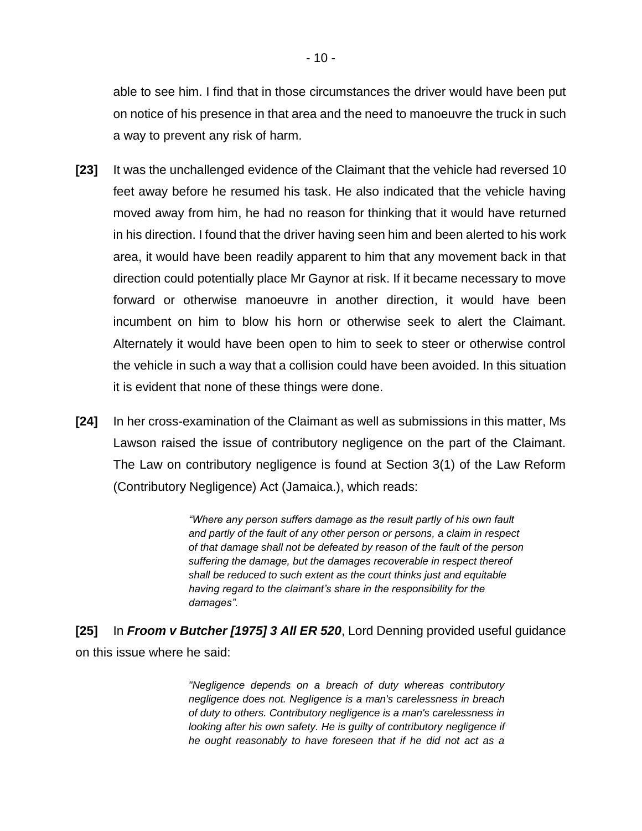able to see him. I find that in those circumstances the driver would have been put on notice of his presence in that area and the need to manoeuvre the truck in such a way to prevent any risk of harm.

- **[23]** It was the unchallenged evidence of the Claimant that the vehicle had reversed 10 feet away before he resumed his task. He also indicated that the vehicle having moved away from him, he had no reason for thinking that it would have returned in his direction. I found that the driver having seen him and been alerted to his work area, it would have been readily apparent to him that any movement back in that direction could potentially place Mr Gaynor at risk. If it became necessary to move forward or otherwise manoeuvre in another direction, it would have been incumbent on him to blow his horn or otherwise seek to alert the Claimant. Alternately it would have been open to him to seek to steer or otherwise control the vehicle in such a way that a collision could have been avoided. In this situation it is evident that none of these things were done.
- **[24]** In her cross-examination of the Claimant as well as submissions in this matter, Ms Lawson raised the issue of contributory negligence on the part of the Claimant. The Law on contributory negligence is found at Section 3(1) of the Law Reform (Contributory Negligence) Act (Jamaica.), which reads:

*"Where any person suffers damage as the result partly of his own fault and partly of the fault of any other person or persons, a claim in respect of that damage shall not be defeated by reason of the fault of the person suffering the damage, but the damages recoverable in respect thereof shall be reduced to such extent as the court thinks just and equitable having regard to the claimant's share in the responsibility for the damages".* 

**[25]** In *Froom v Butcher [1975] 3 All ER 520*, Lord Denning provided useful guidance on this issue where he said:

> *"Negligence depends on a breach of duty whereas contributory negligence does not. Negligence is a man's carelessness in breach of duty to others. Contributory negligence is a man's carelessness in looking after his own safety. He is guilty of contributory negligence if he ought reasonably to have foreseen that if he did not act as a*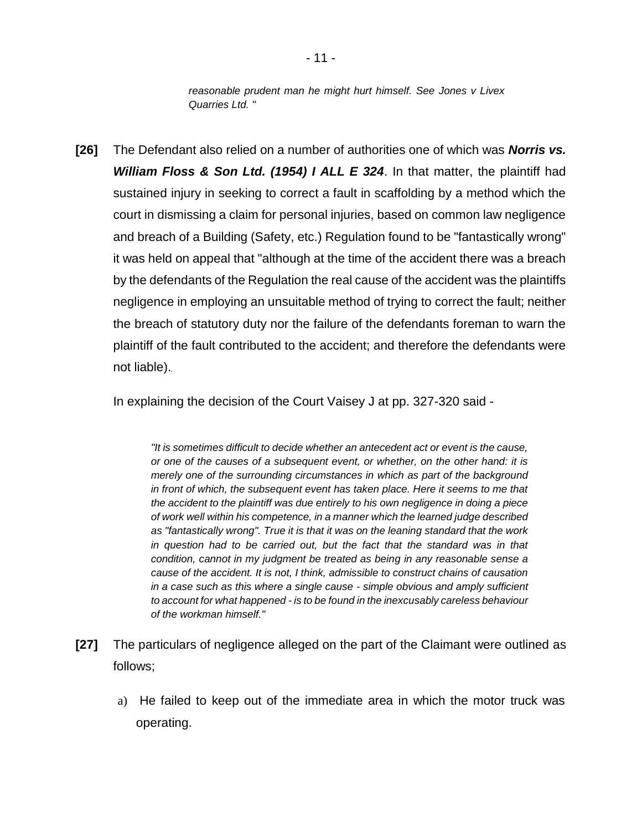*reasonable prudent man he might hurt himself. See Jones v Livex Quarries Ltd. "*

**[26]** The Defendant also relied on a number of authorities one of which was *Norris vs. William Floss & Son Ltd. (1954) I ALL E 324*. In that matter, the plaintiff had sustained injury in seeking to correct a fault in scaffolding by a method which the court in dismissing a claim for personal injuries, based on common law negligence and breach of a Building (Safety, etc.) Regulation found to be "fantastically wrong" it was held on appeal that "although at the time of the accident there was a breach by the defendants of the Regulation the real cause of the accident was the plaintiffs negligence in employing an unsuitable method of trying to correct the fault; neither the breach of statutory duty nor the failure of the defendants foreman to warn the plaintiff of the fault contributed to the accident; and therefore the defendants were not liable).

In explaining the decision of the Court Vaisey J at pp. 327-320 said -

*"It is sometimes difficult to decide whether an antecedent act or event is the cause, or one of the causes of a subsequent event, or whether, on the other hand: it is merely one of the surrounding circumstances in which as part of the background in front of which, the subsequent event has taken place. Here it seems to me that the accident to the plaintiff was due entirely to his own negligence in doing a piece of work well within his competence, in a manner which the learned judge described as "fantastically wrong". True it is that it was on the leaning standard that the work*  in question had to be carried out, but the fact that the standard was in that *condition, cannot in my judgment be treated as being in any reasonable sense a cause of the accident. It is not, I think, admissible to construct chains of causation in a case such as this where a single cause - simple obvious and amply sufficient to account for what happened - is to be found in the inexcusably careless behaviour of the workman himself."*

- **[27]** The particulars of negligence alleged on the part of the Claimant were outlined as follows;
	- a) He failed to keep out of the immediate area in which the motor truck was operating.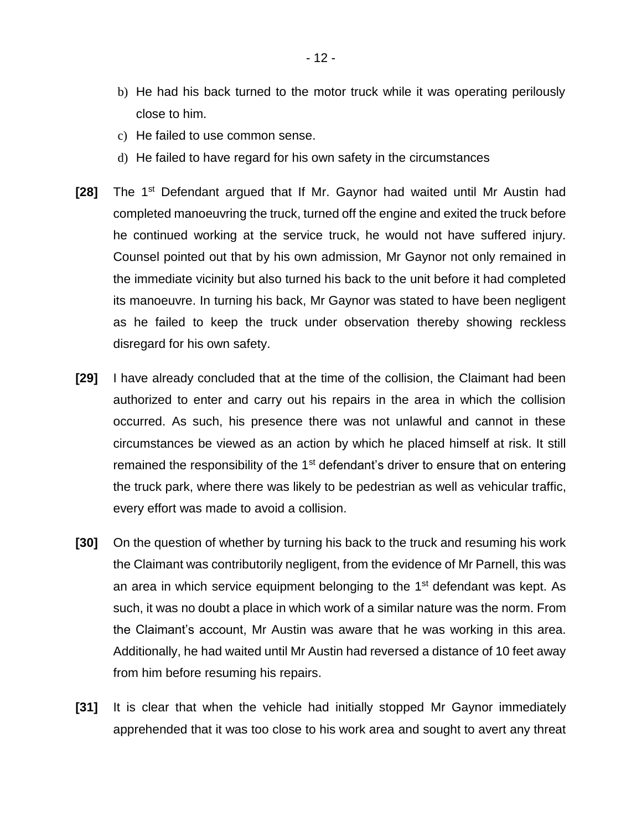- b) He had his back turned to the motor truck while it was operating perilously close to him.
- c) He failed to use common sense.
- d) He failed to have regard for his own safety in the circumstances
- **[28]** The 1st Defendant argued that If Mr. Gaynor had waited until Mr Austin had completed manoeuvring the truck, turned off the engine and exited the truck before he continued working at the service truck, he would not have suffered injury. Counsel pointed out that by his own admission, Mr Gaynor not only remained in the immediate vicinity but also turned his back to the unit before it had completed its manoeuvre. In turning his back, Mr Gaynor was stated to have been negligent as he failed to keep the truck under observation thereby showing reckless disregard for his own safety.
- **[29]** I have already concluded that at the time of the collision, the Claimant had been authorized to enter and carry out his repairs in the area in which the collision occurred. As such, his presence there was not unlawful and cannot in these circumstances be viewed as an action by which he placed himself at risk. It still remained the responsibility of the  $1<sup>st</sup>$  defendant's driver to ensure that on entering the truck park, where there was likely to be pedestrian as well as vehicular traffic, every effort was made to avoid a collision.
- **[30]** On the question of whether by turning his back to the truck and resuming his work the Claimant was contributorily negligent, from the evidence of Mr Parnell, this was an area in which service equipment belonging to the  $1<sup>st</sup>$  defendant was kept. As such, it was no doubt a place in which work of a similar nature was the norm. From the Claimant's account, Mr Austin was aware that he was working in this area. Additionally, he had waited until Mr Austin had reversed a distance of 10 feet away from him before resuming his repairs.
- **[31]** It is clear that when the vehicle had initially stopped Mr Gaynor immediately apprehended that it was too close to his work area and sought to avert any threat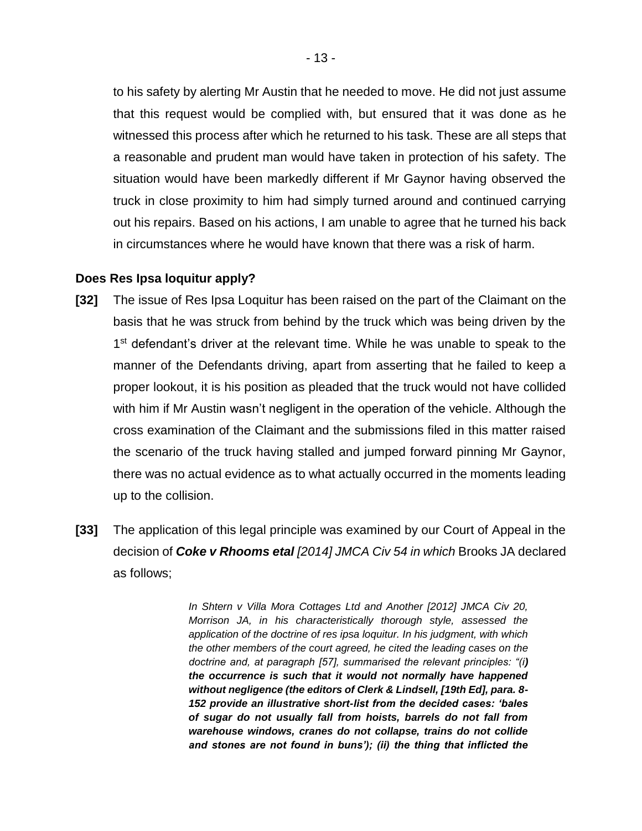to his safety by alerting Mr Austin that he needed to move. He did not just assume that this request would be complied with, but ensured that it was done as he witnessed this process after which he returned to his task. These are all steps that a reasonable and prudent man would have taken in protection of his safety. The situation would have been markedly different if Mr Gaynor having observed the truck in close proximity to him had simply turned around and continued carrying out his repairs. Based on his actions, I am unable to agree that he turned his back in circumstances where he would have known that there was a risk of harm.

#### **Does Res Ipsa loquitur apply?**

- **[32]** The issue of Res Ipsa Loquitur has been raised on the part of the Claimant on the basis that he was struck from behind by the truck which was being driven by the 1<sup>st</sup> defendant's driver at the relevant time. While he was unable to speak to the manner of the Defendants driving, apart from asserting that he failed to keep a proper lookout, it is his position as pleaded that the truck would not have collided with him if Mr Austin wasn't negligent in the operation of the vehicle. Although the cross examination of the Claimant and the submissions filed in this matter raised the scenario of the truck having stalled and jumped forward pinning Mr Gaynor, there was no actual evidence as to what actually occurred in the moments leading up to the collision.
- **[33]** The application of this legal principle was examined by our Court of Appeal in the decision of *Coke v Rhooms etal [2014] JMCA Civ 54 in which* Brooks JA declared as follows;

*In Shtern v Villa Mora Cottages Ltd and Another [2012] JMCA Civ 20, Morrison JA, in his characteristically thorough style, assessed the application of the doctrine of res ipsa loquitur. In his judgment, with which the other members of the court agreed, he cited the leading cases on the doctrine and, at paragraph [57], summarised the relevant principles: "(i) the occurrence is such that it would not normally have happened without negligence (the editors of Clerk & Lindsell, [19th Ed], para. 8- 152 provide an illustrative short-list from the decided cases: 'bales of sugar do not usually fall from hoists, barrels do not fall from warehouse windows, cranes do not collapse, trains do not collide and stones are not found in buns'); (ii) the thing that inflicted the*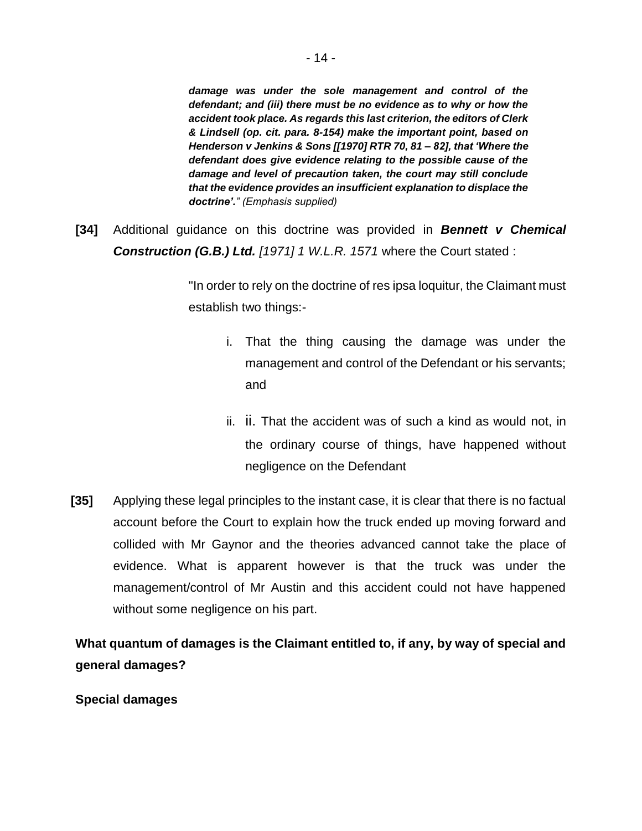*damage was under the sole management and control of the defendant; and (iii) there must be no evidence as to why or how the accident took place. As regards this last criterion, the editors of Clerk & Lindsell (op. cit. para. 8-154) make the important point, based on Henderson v Jenkins & Sons [[1970] RTR 70, 81 – 82], that 'Where the defendant does give evidence relating to the possible cause of the damage and level of precaution taken, the court may still conclude that the evidence provides an insufficient explanation to displace the doctrine'." (Emphasis supplied)* 

**[34]** Additional guidance on this doctrine was provided in *Bennett v Chemical Construction (G.B.) Ltd. [1971] 1 W.L.R. 1571* where the Court stated :

> "In order to rely on the doctrine of res ipsa loquitur, the Claimant must establish two things:-

- i. That the thing causing the damage was under the management and control of the Defendant or his servants; and
- ii. ii. That the accident was of such a kind as would not, in the ordinary course of things, have happened without negligence on the Defendant
- **[35]** Applying these legal principles to the instant case, it is clear that there is no factual account before the Court to explain how the truck ended up moving forward and collided with Mr Gaynor and the theories advanced cannot take the place of evidence. What is apparent however is that the truck was under the management/control of Mr Austin and this accident could not have happened without some negligence on his part.

**What quantum of damages is the Claimant entitled to, if any, by way of special and general damages?**

**Special damages**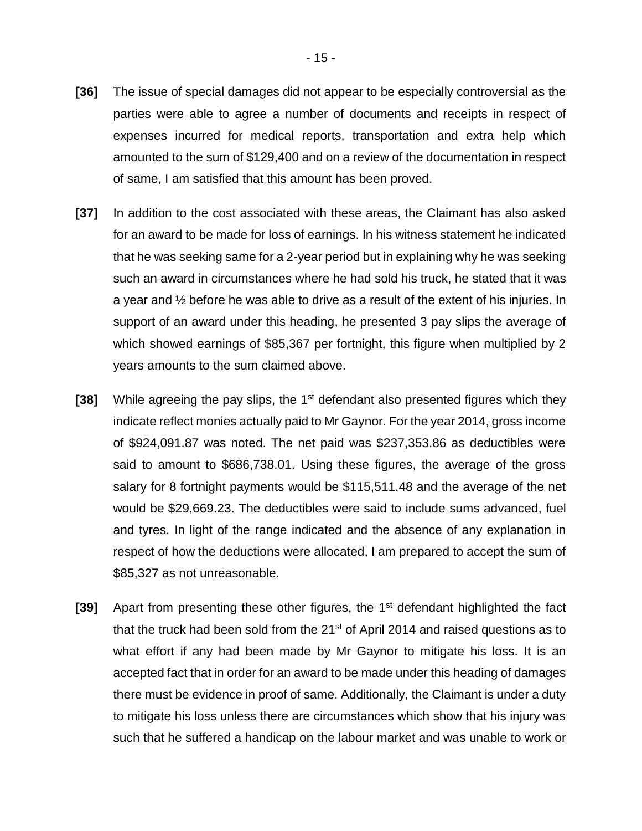- **[36]** The issue of special damages did not appear to be especially controversial as the parties were able to agree a number of documents and receipts in respect of expenses incurred for medical reports, transportation and extra help which amounted to the sum of \$129,400 and on a review of the documentation in respect of same, I am satisfied that this amount has been proved.
- **[37]** In addition to the cost associated with these areas, the Claimant has also asked for an award to be made for loss of earnings. In his witness statement he indicated that he was seeking same for a 2-year period but in explaining why he was seeking such an award in circumstances where he had sold his truck, he stated that it was a year and ½ before he was able to drive as a result of the extent of his injuries. In support of an award under this heading, he presented 3 pay slips the average of which showed earnings of \$85,367 per fortnight, this figure when multiplied by 2 years amounts to the sum claimed above.
- **[38]** While agreeing the pay slips, the 1<sup>st</sup> defendant also presented figures which they indicate reflect monies actually paid to Mr Gaynor. For the year 2014, gross income of \$924,091.87 was noted. The net paid was \$237,353.86 as deductibles were said to amount to \$686,738.01. Using these figures, the average of the gross salary for 8 fortnight payments would be \$115,511.48 and the average of the net would be \$29,669.23. The deductibles were said to include sums advanced, fuel and tyres. In light of the range indicated and the absence of any explanation in respect of how the deductions were allocated, I am prepared to accept the sum of \$85,327 as not unreasonable.
- **[39]** Apart from presenting these other figures, the 1<sup>st</sup> defendant highlighted the fact that the truck had been sold from the 21<sup>st</sup> of April 2014 and raised questions as to what effort if any had been made by Mr Gaynor to mitigate his loss. It is an accepted fact that in order for an award to be made under this heading of damages there must be evidence in proof of same. Additionally, the Claimant is under a duty to mitigate his loss unless there are circumstances which show that his injury was such that he suffered a handicap on the labour market and was unable to work or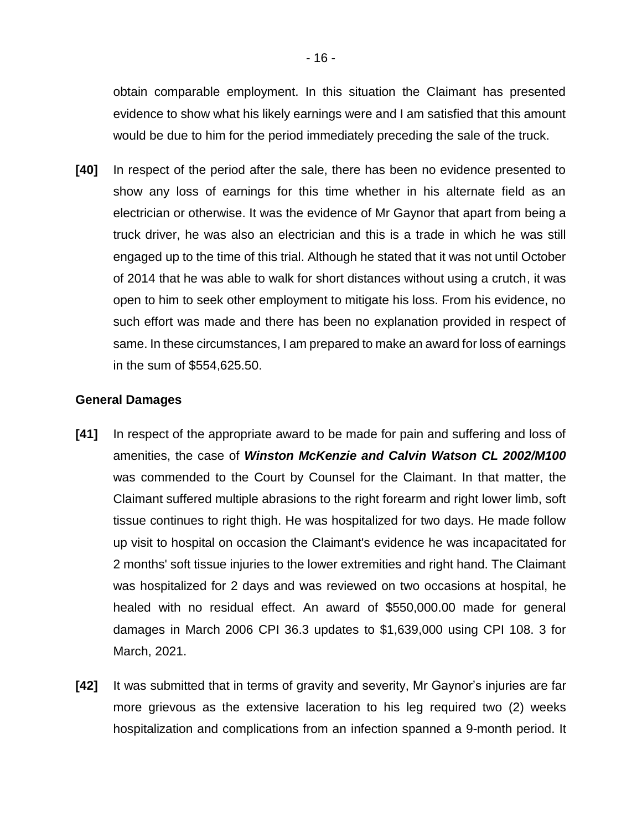obtain comparable employment. In this situation the Claimant has presented evidence to show what his likely earnings were and I am satisfied that this amount would be due to him for the period immediately preceding the sale of the truck.

**[40]** In respect of the period after the sale, there has been no evidence presented to show any loss of earnings for this time whether in his alternate field as an electrician or otherwise. It was the evidence of Mr Gaynor that apart from being a truck driver, he was also an electrician and this is a trade in which he was still engaged up to the time of this trial. Although he stated that it was not until October of 2014 that he was able to walk for short distances without using a crutch, it was open to him to seek other employment to mitigate his loss. From his evidence, no such effort was made and there has been no explanation provided in respect of same. In these circumstances, I am prepared to make an award for loss of earnings in the sum of \$554,625.50.

## **General Damages**

- **[41]** In respect of the appropriate award to be made for pain and suffering and loss of amenities, the case of *Winston McKenzie and Calvin Watson CL 2002/M100*  was commended to the Court by Counsel for the Claimant. In that matter, the Claimant suffered multiple abrasions to the right forearm and right lower limb, soft tissue continues to right thigh. He was hospitalized for two days. He made follow up visit to hospital on occasion the Claimant's evidence he was incapacitated for 2 months' soft tissue injuries to the lower extremities and right hand. The Claimant was hospitalized for 2 days and was reviewed on two occasions at hospital, he healed with no residual effect. An award of \$550,000.00 made for general damages in March 2006 CPI 36.3 updates to \$1,639,000 using CPI 108. 3 for March, 2021.
- **[42]** It was submitted that in terms of gravity and severity, Mr Gaynor's injuries are far more grievous as the extensive laceration to his leg required two (2) weeks hospitalization and complications from an infection spanned a 9-month period. It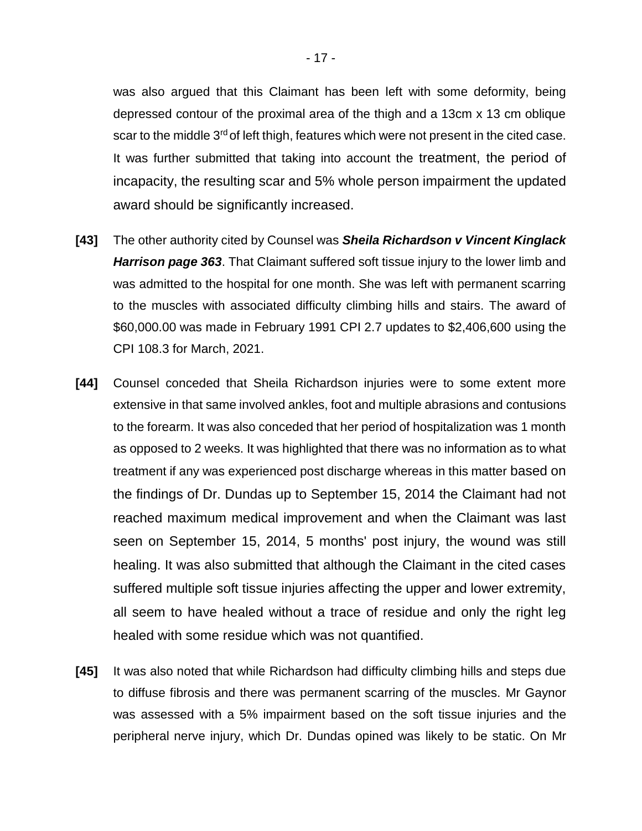was also argued that this Claimant has been left with some deformity, being depressed contour of the proximal area of the thigh and a 13cm x 13 cm oblique scar to the middle 3<sup>rd</sup> of left thigh, features which were not present in the cited case. It was further submitted that taking into account the treatment, the period of incapacity, the resulting scar and 5% whole person impairment the updated award should be significantly increased.

- **[43]** The other authority cited by Counsel was *Sheila Richardson v Vincent Kinglack Harrison page 363*. That Claimant suffered soft tissue injury to the lower limb and was admitted to the hospital for one month. She was left with permanent scarring to the muscles with associated difficulty climbing hills and stairs. The award of \$60,000.00 was made in February 1991 CPI 2.7 updates to \$2,406,600 using the CPI 108.3 for March, 2021.
- **[44]** Counsel conceded that Sheila Richardson injuries were to some extent more extensive in that same involved ankles, foot and multiple abrasions and contusions to the forearm. It was also conceded that her period of hospitalization was 1 month as opposed to 2 weeks. It was highlighted that there was no information as to what treatment if any was experienced post discharge whereas in this matter based on the findings of Dr. Dundas up to September 15, 2014 the Claimant had not reached maximum medical improvement and when the Claimant was last seen on September 15, 2014, 5 months' post injury, the wound was still healing. It was also submitted that although the Claimant in the cited cases suffered multiple soft tissue injuries affecting the upper and lower extremity, all seem to have healed without a trace of residue and only the right leg healed with some residue which was not quantified.
- **[45]** It was also noted that while Richardson had difficulty climbing hills and steps due to diffuse fibrosis and there was permanent scarring of the muscles. Mr Gaynor was assessed with a 5% impairment based on the soft tissue injuries and the peripheral nerve injury, which Dr. Dundas opined was likely to be static. On Mr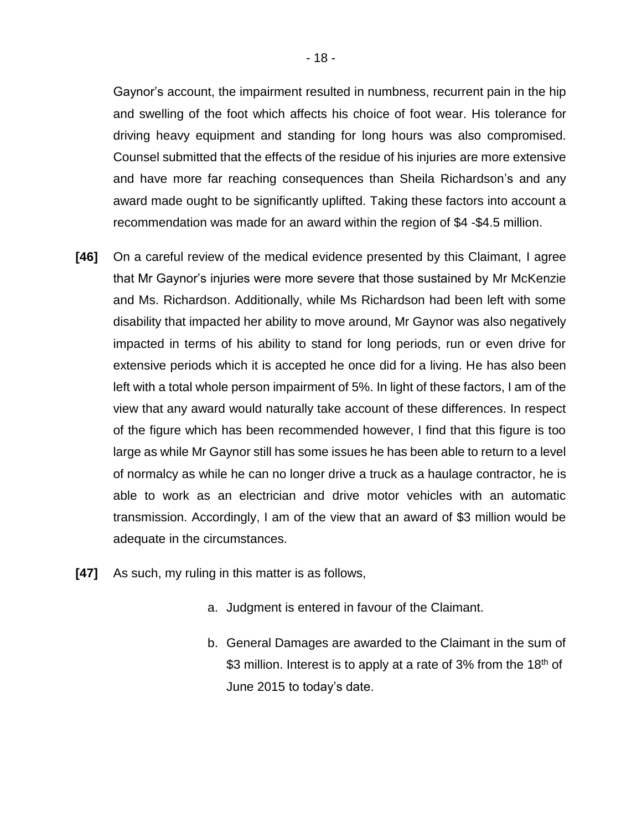Gaynor's account, the impairment resulted in numbness, recurrent pain in the hip and swelling of the foot which affects his choice of foot wear. His tolerance for driving heavy equipment and standing for long hours was also compromised. Counsel submitted that the effects of the residue of his injuries are more extensive and have more far reaching consequences than Sheila Richardson's and any award made ought to be significantly uplifted. Taking these factors into account a recommendation was made for an award within the region of \$4 -\$4.5 million.

- **[46]** On a careful review of the medical evidence presented by this Claimant, I agree that Mr Gaynor's injuries were more severe that those sustained by Mr McKenzie and Ms. Richardson. Additionally, while Ms Richardson had been left with some disability that impacted her ability to move around, Mr Gaynor was also negatively impacted in terms of his ability to stand for long periods, run or even drive for extensive periods which it is accepted he once did for a living. He has also been left with a total whole person impairment of 5%. In light of these factors, I am of the view that any award would naturally take account of these differences. In respect of the figure which has been recommended however, I find that this figure is too large as while Mr Gaynor still has some issues he has been able to return to a level of normalcy as while he can no longer drive a truck as a haulage contractor, he is able to work as an electrician and drive motor vehicles with an automatic transmission. Accordingly, I am of the view that an award of \$3 million would be adequate in the circumstances.
- **[47]** As such, my ruling in this matter is as follows,
	- a. Judgment is entered in favour of the Claimant.
	- b. General Damages are awarded to the Claimant in the sum of \$3 million. Interest is to apply at a rate of 3% from the 18<sup>th</sup> of June 2015 to today's date.